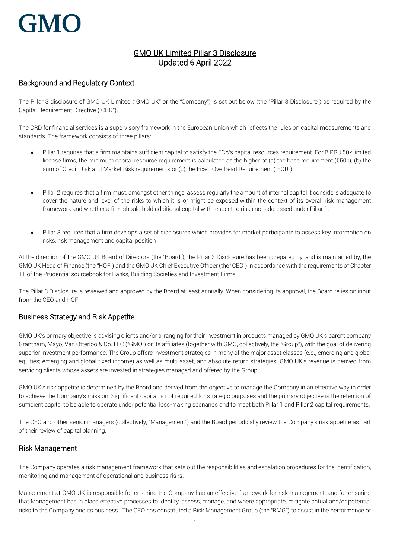# **GMC**

# GMO UK Limited Pillar 3 Disclosure Updated 6 April 2022

# Background and Regulatory Context

The Pillar 3 disclosure of GMO UK Limited ("GMO UK" or the "Company") is set out below (the "Pillar 3 Disclosure") as required by the Capital Requirement Directive ("CRD").

The CRD for financial services is a supervisory framework in the European Union which reflects the rules on capital measurements and standards. The framework consists of three pillars:

- Pillar 1 requires that a firm maintains sufficient capital to satisfy the FCA's capital resources requirement. For BIPRU 50k limited license firms, the minimum capital resource requirement is calculated as the higher of (a) the base requirement ( $\epsilon$ 50k), (b) the sum of Credit Risk and Market Risk requirements or (c) the Fixed Overhead Requirement ("FOR").
- Pillar 2 requires that a firm must, amongst other things, assess regularly the amount of internal capital it considers adequate to cover the nature and level of the risks to which it is or might be exposed within the context of its overall risk management framework and whether a firm should hold additional capital with respect to risks not addressed under Pillar 1.
- Pillar 3 requires that a firm develops a set of disclosures which provides for market participants to assess key information on risks, risk management and capital position

At the direction of the GMO UK Board of Directors (the "Board"), the Pillar 3 Disclosure has been prepared by, and is maintained by, the GMO UK Head of Finance (the "HOF") and the GMO UK Chief Executive Officer (the "CEO") in accordance with the requirements of Chapter 11 of the Prudential sourcebook for Banks, Building Societies and Investment Firms.

The Pillar 3 Disclosure is reviewed and approved by the Board at least annually. When considering its approval, the Board relies on input from the CEO and HOF.

# Business Strategy and Risk Appetite

GMO UK's primary objective is advising clients and/or arranging for their investment in products managed by GMO UK's parent company Grantham, Mayo, Van Otterloo & Co. LLC ("GMO") or its affiliates (together with GMO, collectively, the "Group"), with the goal of delivering superior investment performance. The Group offers investment strategies in many of the major asset classes (e.g*.*, emerging and global equities; emerging and global fixed income) as well as multi asset, and absolute return strategies. GMO UK's revenue is derived from servicing clients whose assets are invested in strategies managed and offered by the Group.

GMO UK's risk appetite is determined by the Board and derived from the objective to manage the Company in an effective way in order to achieve the Company's mission. Significant capital is not required for strategic purposes and the primary objective is the retention of sufficient capital to be able to operate under potential loss-making scenarios and to meet both Pillar 1 and Pillar 2 capital requirements.

The CEO and other senior managers (collectively, "Management") and the Board periodically review the Company's risk appetite as part of their review of capital planning.

## Risk Management

The Company operates a risk management framework that sets out the responsibilities and escalation procedures for the identification, monitoring and management of operational and business risks.

Management at GMO UK is responsible for ensuring the Company has an effective framework for risk management, and for ensuring that Management has in place effective processes to identify, assess, manage, and where appropriate, mitigate actual and/or potential risks to the Company and its business. The CEO has constituted a Risk Management Group (the "RMG") to assist in the performance of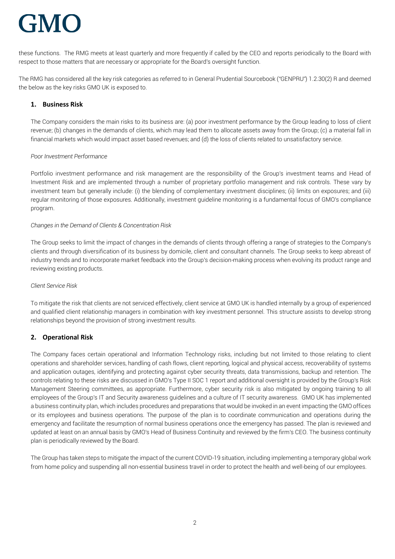# **GMC**

these functions. The RMG meets at least quarterly and more frequently if called by the CEO and reports periodically to the Board with respect to those matters that are necessary or appropriate for the Board's oversight function.

The RMG has considered all the key risk categories as referred to in General Prudential Sourcebook ("GENPRU") 1.2.30(2) R and deemed the below as the key risks GMO UK is exposed to.

## **1. Business Risk**

The Company considers the main risks to its business are: (a) poor investment performance by the Group leading to loss of client revenue; (b) changes in the demands of clients, which may lead them to allocate assets away from the Group; (c) a material fall in financial markets which would impact asset based revenues; and (d) the loss of clients related to unsatisfactory service.

#### *Poor Investment Performance*

Portfolio investment performance and risk management are the responsibility of the Group's investment teams and Head of Investment Risk and are implemented through a number of proprietary portfolio management and risk controls. These vary by investment team but generally include: (i) the blending of complementary investment disciplines; (ii) limits on exposures; and (iii) regular monitoring of those exposures. Additionally, investment guideline monitoring is a fundamental focus of GMO's compliance program.

#### *Changes in the Demand of Clients & Concentration Risk*

The Group seeks to limit the impact of changes in the demands of clients through offering a range of strategies to the Company's clients and through diversification of its business by domicile, client and consultant channels. The Group seeks to keep abreast of industry trends and to incorporate market feedback into the Group's decision-making process when evolving its product range and reviewing existing products.

#### *Client Service Risk*

To mitigate the risk that clients are not serviced effectively, client service at GMO UK is handled internally by a group of experienced and qualified client relationship managers in combination with key investment personnel. This structure assists to develop strong relationships beyond the provision of strong investment results.

## **2. Operational Risk**

The Company faces certain operational and Information Technology risks, including but not limited to those relating to client operations and shareholder services, handling of cash flows, client reporting, logical and physical access, recoverability of systems and application outages, identifying and protecting against cyber security threats, data transmissions, backup and retention. The controls relating to these risks are discussed in GMO's Type II SOC 1 report and additional oversight is provided by the Group's Risk Management Steering committees, as appropriate. Furthermore, cyber security risk is also mitigated by ongoing training to all employees of the Group's IT and Security awareness guidelines and a culture of IT security awareness. GMO UK has implemented a business continuity plan, which includes procedures and preparations that would be invoked in an event impacting the GMO offices or its employees and business operations. The purpose of the plan is to coordinate communication and operations during the emergency and facilitate the resumption of normal business operations once the emergency has passed. The plan is reviewed and updated at least on an annual basis by GMO's Head of Business Continuity and reviewed by the firm's CEO. The business continuity plan is periodically reviewed by the Board.

The Group has taken steps to mitigate the impact of the current COVID-19 situation, including implementing a temporary global work from home policy and suspending all non-essential business travel in order to protect the health and well-being of our employees.